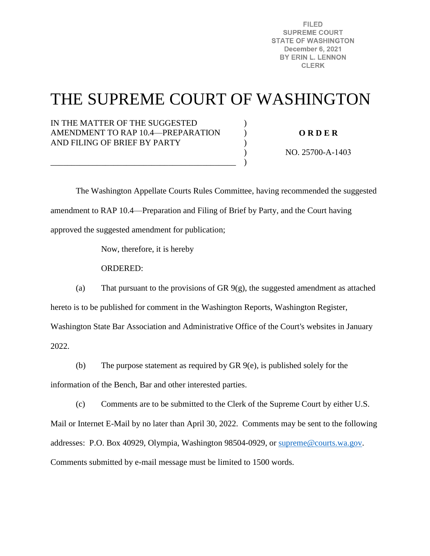**FILED SUPREME COURT STATE OF WASHINGTON** December 6, 2021 BY ERIN L. LENNON **CLERK** 

# THE SUPREME COURT OF WASHINGTON

)  $\mathcal{L}$ )  $\lambda$ )

### IN THE MATTER OF THE SUGGESTED AMENDMENT TO RAP 10.4—PREPARATION AND FILING OF BRIEF BY PARTY

\_\_\_\_\_\_\_\_\_\_\_\_\_\_\_\_\_\_\_\_\_\_\_\_\_\_\_\_\_\_\_\_\_\_\_\_\_\_\_\_\_\_\_\_

**O R D E R** 

NO. 25700-A-1403

 The Washington Appellate Courts Rules Committee, having recommended the suggested amendment to RAP 10.4—Preparation and Filing of Brief by Party, and the Court having approved the suggested amendment for publication;

Now, therefore, it is hereby

ORDERED:

(a) That pursuant to the provisions of GR 9(g), the suggested amendment as attached hereto is to be published for comment in the Washington Reports, Washington Register,

Washington State Bar Association and Administrative Office of the Court's websites in January 2022.

(b) The purpose statement as required by GR 9(e), is published solely for the

information of the Bench, Bar and other interested parties.

(c) Comments are to be submitted to the Clerk of the Supreme Court by either U.S.

Mail or Internet E-Mail by no later than April 30, 2022. Comments may be sent to the following addresses: P.O. Box 40929, Olympia, Washington 98504-0929, or [supreme@courts.wa.gov.](mailto:supreme@courts.wa.gov) Comments submitted by e-mail message must be limited to 1500 words.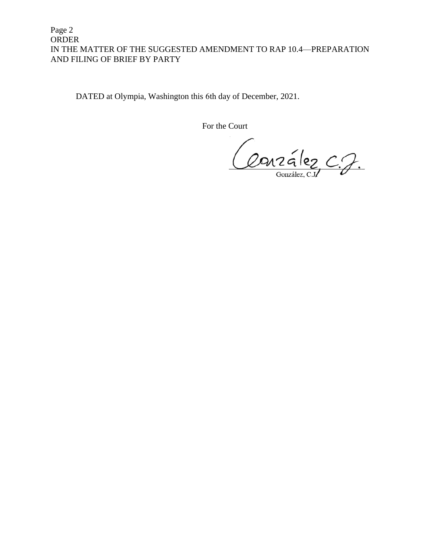## Page 2 ORDER IN THE MATTER OF THE SUGGESTED AMENDMENT TO RAP 10.4—PREPARATION AND FILING OF BRIEF BY PARTY

DATED at Olympia, Washington this 6th day of December, 2021.

For the Court

Conzélez C.J.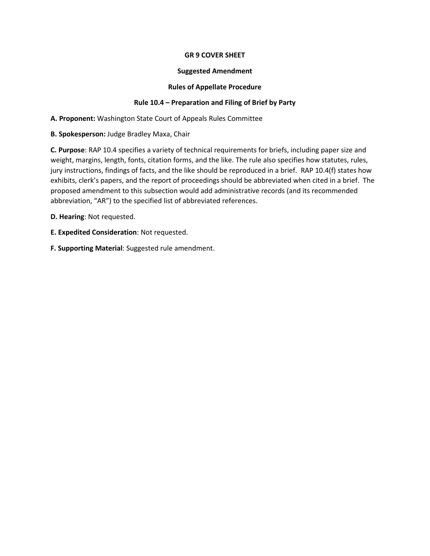#### **GR 9 COVER SHEET**

#### **Suggested Amendment**

#### **Rules of Appellate Procedure**

#### **Rule 10.4 – Preparation and Filing of Brief by Party**

**A. Proponent:** Washington State Court of Appeals Rules Committee

**B. Spokesperson:** Judge Bradley Maxa, Chair

**C. Purpose**: RAP 10.4 specifies a variety of technical requirements for briefs, including paper size and weight, margins, length, fonts, citation forms, and the like. The rule also specifies how statutes, rules, jury instructions, findings of facts, and the like should be reproduced in a brief. RAP 10.4(f) states how exhibits, clerk's papers, and the report of proceedings should be abbreviated when cited in a brief. The proposed amendment to this subsection would add administrative records (and its recommended abbreviation, "AR") to the specified list of abbreviated references.

**D. Hearing**: Not requested.

- **E. Expedited Consideration**: Not requested.
- **F. Supporting Material**: Suggested rule amendment.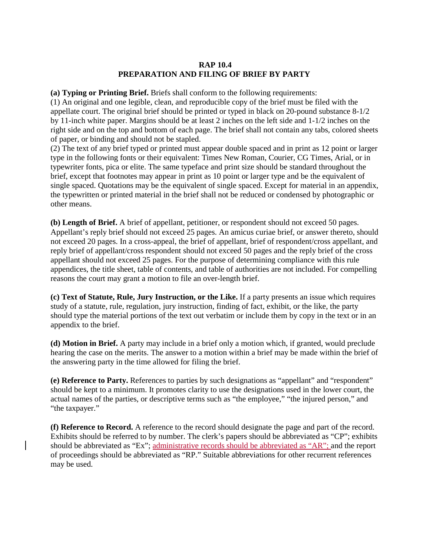#### **RAP 10.4 PREPARATION AND FILING OF BRIEF BY PARTY**

**(a) Typing or Printing Brief.** Briefs shall conform to the following requirements:

(1) An original and one legible, clean, and reproducible copy of the brief must be filed with the appellate court. The original brief should be printed or typed in black on 20-pound substance 8-1/2 by 11-inch white paper. Margins should be at least 2 inches on the left side and 1-1/2 inches on the right side and on the top and bottom of each page. The brief shall not contain any tabs, colored sheets of paper, or binding and should not be stapled.

(2) The text of any brief typed or printed must appear double spaced and in print as 12 point or larger type in the following fonts or their equivalent: Times New Roman, Courier, CG Times, Arial, or in typewriter fonts, pica or elite. The same typeface and print size should be standard throughout the brief, except that footnotes may appear in print as 10 point or larger type and be the equivalent of single spaced. Quotations may be the equivalent of single spaced. Except for material in an appendix, the typewritten or printed material in the brief shall not be reduced or condensed by photographic or other means.

**(b) Length of Brief.** A brief of appellant, petitioner, or respondent should not exceed 50 pages. Appellant's reply brief should not exceed 25 pages. An amicus curiae brief, or answer thereto, should not exceed 20 pages. In a cross-appeal, the brief of appellant, brief of respondent/cross appellant, and reply brief of appellant/cross respondent should not exceed 50 pages and the reply brief of the cross appellant should not exceed 25 pages. For the purpose of determining compliance with this rule appendices, the title sheet, table of contents, and table of authorities are not included. For compelling reasons the court may grant a motion to file an over-length brief.

**(c) Text of Statute, Rule, Jury Instruction, or the Like.** If a party presents an issue which requires study of a statute, rule, regulation, jury instruction, finding of fact, exhibit, or the like, the party should type the material portions of the text out verbatim or include them by copy in the text or in an appendix to the brief.

**(d) Motion in Brief.** A party may include in a brief only a motion which, if granted, would preclude hearing the case on the merits. The answer to a motion within a brief may be made within the brief of the answering party in the time allowed for filing the brief.

**(e) Reference to Party.** References to parties by such designations as "appellant" and "respondent" should be kept to a minimum. It promotes clarity to use the designations used in the lower court, the actual names of the parties, or descriptive terms such as "the employee," "the injured person," and "the taxpayer."

**(f) Reference to Record.** A reference to the record should designate the page and part of the record. Exhibits should be referred to by number. The clerk's papers should be abbreviated as "CP"; exhibits should be abbreviated as "Ex"; administrative records should be abbreviated as "AR"; and the report of proceedings should be abbreviated as "RP." Suitable abbreviations for other recurrent references may be used.